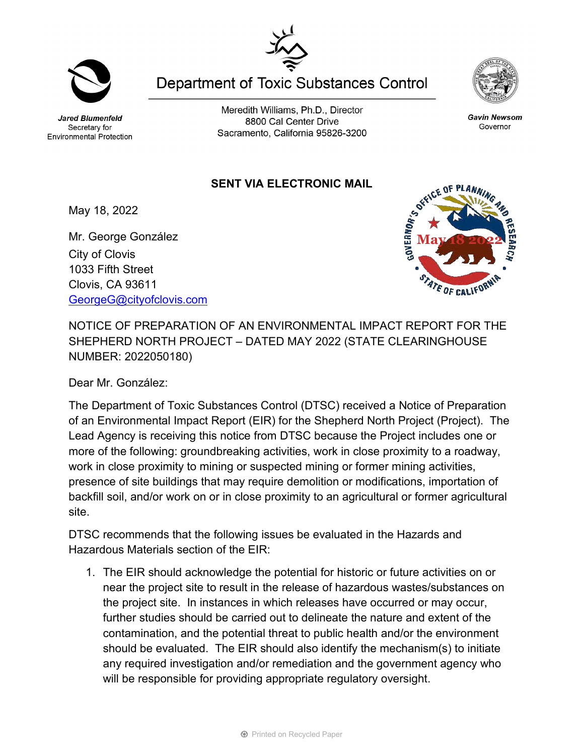Jared Blumenfeld Secretary for **Environmental Protection** 

Meredith Williams, Ph.D., Director 8800 Cal Center Drive Sacramento, California 95826-3200

**Department of Toxic Substances Control** 

## **SENT VIA ELECTRONIC MAIL**

May 18, 2022

Mr. George González City of Clovis 1033 Fifth Street Clovis, CA 93611 [GeorgeG@cityofclovis.com](mailto:GeorgeG@cityofclovis.com)

NOTICE OF PREPARATION OF AN ENVIRONMENTAL IMPACT REPORT FOR THE SHEPHERD NORTH PROJECT – DATED MAY 2022 (STATE CLEARINGHOUSE NUMBER: 2022050180)

Dear Mr. González:

The Department of Toxic Substances Control (DTSC) received a Notice of Preparation of an Environmental Impact Report (EIR) for the Shepherd North Project (Project). The Lead Agency is receiving this notice from DTSC because the Project includes one or more of the following: groundbreaking activities, work in close proximity to a roadway, work in close proximity to mining or suspected mining or former mining activities, presence of site buildings that may require demolition or modifications, importation of backfill soil, and/or work on or in close proximity to an agricultural or former agricultural site.

DTSC recommends that the following issues be evaluated in the Hazards and Hazardous Materials section of the EIR:

1. The EIR should acknowledge the potential for historic or future activities on or near the project site to result in the release of hazardous wastes/substances on the project site. In instances in which releases have occurred or may occur, further studies should be carried out to delineate the nature and extent of the contamination, and the potential threat to public health and/or the environment should be evaluated. The EIR should also identify the mechanism(s) to initiate any required investigation and/or remediation and the government agency who will be responsible for providing appropriate regulatory oversight.



Gavin Newsom

Governor





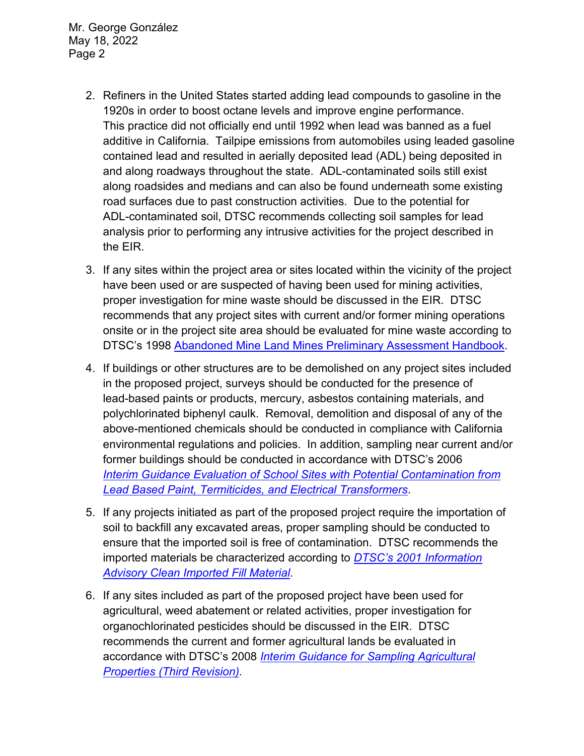Mr. George González May 18, 2022 Page 2

- 2. Refiners in the United States started adding lead compounds to gasoline in the 1920s in order to boost octane levels and improve engine performance. This practice did not officially end until 1992 when lead was banned as a fuel additive in California. Tailpipe emissions from automobiles using leaded gasoline contained lead and resulted in aerially deposited lead (ADL) being deposited in and along roadways throughout the state. ADL-contaminated soils still exist along roadsides and medians and can also be found underneath some existing road surfaces due to past construction activities. Due to the potential for ADL-contaminated soil, DTSC recommends collecting soil samples for lead analysis prior to performing any intrusive activities for the project described in the EIR.
- 3. If any sites within the project area or sites located within the vicinity of the project have been used or are suspected of having been used for mining activities, proper investigation for mine waste should be discussed in the EIR. DTSC recommends that any project sites with current and/or former mining operations onsite or in the project site area should be evaluated for mine waste according to DTSC's 1998 [Abandoned Mine Land Mines Preliminary Assessment Handbook.](https://dtsc.ca.gov/2020/04/17/document-request/?wpf337186_14=https://dtsc.ca.gov/wp-content/uploads/sites/31/2018/11/aml_handbook.pdf)
- 4. If buildings or other structures are to be demolished on any project sites included in the proposed project, surveys should be conducted for the presence of lead-based paints or products, mercury, asbestos containing materials, and polychlorinated biphenyl caulk. Removal, demolition and disposal of any of the above-mentioned chemicals should be conducted in compliance with California environmental regulations and policies. In addition, sampling near current and/or former buildings should be conducted in accordance with DTSC's 2006 *Interim [Guidance Evaluation of School Sites with Potential Contamination from](https://dtsc.ca.gov/2020/04/17/document-request/?wpf337186_14=https://dtsc.ca.gov/wpcontent/uploads/sites/31/2018/09/Guidance_Lead_%20%20Contamination_050118.pdf)  [Lead Based Paint, Termiticides, and Electrical Transformers](https://dtsc.ca.gov/2020/04/17/document-request/?wpf337186_14=https://dtsc.ca.gov/wpcontent/uploads/sites/31/2018/09/Guidance_Lead_%20%20Contamination_050118.pdf)*.
- 5. If any projects initiated as part of the proposed project require the importation of soil to backfill any excavated areas, proper sampling should be conducted to ensure that the imported soil is free of contamination. DTSC recommends the imported materials be characterized according to *[DTSC's 2001 Information](https://dtsc.ca.gov/wp-content/uploads/sites/31/2018/09/SMP_FS_Cleanfill-Schools.pdf)  [Advisory Clean Imported Fill Material](https://dtsc.ca.gov/wp-content/uploads/sites/31/2018/09/SMP_FS_Cleanfill-Schools.pdf)*.
- 6. If any sites included as part of the proposed project have been used for agricultural, weed abatement or related activities, proper investigation for organochlorinated pesticides should be discussed in the EIR. DTSC recommends the current and former agricultural lands be evaluated in accordance with DTSC's 2008 *[Interim Guidance for Sampling Agricultural](https://dtsc.ca.gov/wp-content/uploads/sites/31/2018/09/Ag-Guidance-Rev-3-August-7-2008-2.pdf)  [Properties \(Third Revision\).](https://dtsc.ca.gov/wp-content/uploads/sites/31/2018/09/Ag-Guidance-Rev-3-August-7-2008-2.pdf)*